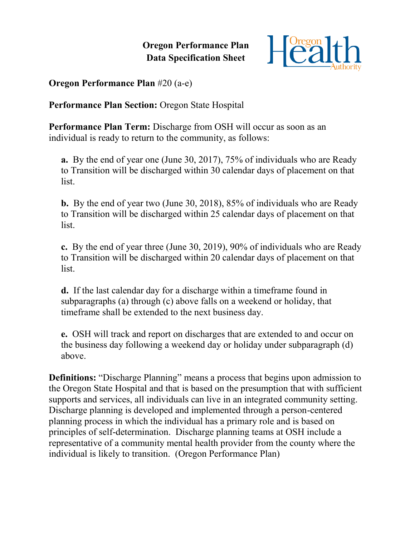**Oregon Performance Plan Data Specification Sheet**



**Oregon Performance Plan** #20 (a-e)

**Performance Plan Section:** Oregon State Hospital

**Performance Plan Term:** Discharge from OSH will occur as soon as an individual is ready to return to the community, as follows:

**a.** By the end of year one (June 30, 2017), 75% of individuals who are Ready to Transition will be discharged within 30 calendar days of placement on that list.

**b.** By the end of year two (June 30, 2018), 85% of individuals who are Ready to Transition will be discharged within 25 calendar days of placement on that **list** 

**c.** By the end of year three (June 30, 2019), 90% of individuals who are Ready to Transition will be discharged within 20 calendar days of placement on that list.

**d.** If the last calendar day for a discharge within a timeframe found in subparagraphs (a) through (c) above falls on a weekend or holiday, that timeframe shall be extended to the next business day.

**e.** OSH will track and report on discharges that are extended to and occur on the business day following a weekend day or holiday under subparagraph (d) above.

**Definitions:** "Discharge Planning" means a process that begins upon admission to the Oregon State Hospital and that is based on the presumption that with sufficient supports and services, all individuals can live in an integrated community setting. Discharge planning is developed and implemented through a person-centered planning process in which the individual has a primary role and is based on principles of self-determination. Discharge planning teams at OSH include a representative of a community mental health provider from the county where the individual is likely to transition. (Oregon Performance Plan)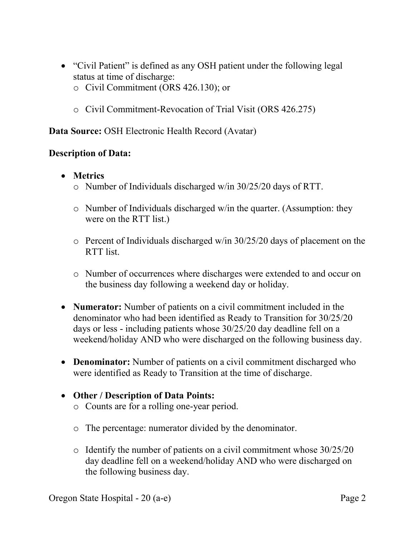- "Civil Patient" is defined as any OSH patient under the following legal status at time of discharge:
	- o Civil Commitment (ORS 426.130); or
	- o Civil Commitment-Revocation of Trial Visit (ORS 426.275)

**Data Source:** OSH Electronic Health Record (Avatar)

## **Description of Data:**

- **Metrics**
	- o Number of Individuals discharged w/in 30/25/20 days of RTT.
	- o Number of Individuals discharged w/in the quarter. (Assumption: they were on the RTT list.)
	- o Percent of Individuals discharged w/in 30/25/20 days of placement on the RTT list.
	- o Number of occurrences where discharges were extended to and occur on the business day following a weekend day or holiday.
- **Numerator:** Number of patients on a civil commitment included in the denominator who had been identified as Ready to Transition for 30/25/20 days or less - including patients whose 30/25/20 day deadline fell on a weekend/holiday AND who were discharged on the following business day.
- **Denominator:** Number of patients on a civil commitment discharged who were identified as Ready to Transition at the time of discharge.
- **Other / Description of Data Points:**
	- o Counts are for a rolling one-year period.
	- o The percentage: numerator divided by the denominator.
	- o Identify the number of patients on a civil commitment whose 30/25/20 day deadline fell on a weekend/holiday AND who were discharged on the following business day.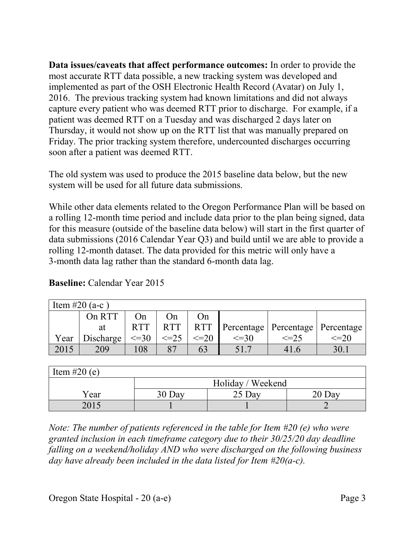**Data issues/caveats that affect performance outcomes:** In order to provide the most accurate RTT data possible, a new tracking system was developed and implemented as part of the OSH Electronic Health Record (Avatar) on July 1, 2016. The previous tracking system had known limitations and did not always capture every patient who was deemed RTT prior to discharge. For example, if a patient was deemed RTT on a Tuesday and was discharged 2 days later on Thursday, it would not show up on the RTT list that was manually prepared on Friday. The prior tracking system therefore, undercounted discharges occurring soon after a patient was deemed RTT.

The old system was used to produce the 2015 baseline data below, but the new system will be used for all future data submissions.

While other data elements related to the Oregon Performance Plan will be based on a rolling 12-month time period and include data prior to the plan being signed, data for this measure (outside of the baseline data below) will start in the first quarter of data submissions (2016 Calendar Year Q3) and build until we are able to provide a rolling 12-month dataset. The data provided for this metric will only have a 3-month data lag rather than the standard 6-month data lag.

| Item #20 (a-c) |           |            |            |            |                 |                                      |           |  |
|----------------|-----------|------------|------------|------------|-----------------|--------------------------------------|-----------|--|
|                | On RTT    | On         | On)        | ( )n       |                 |                                      |           |  |
|                | at        | <b>RTT</b> | <b>RTT</b> | <b>RTT</b> |                 | Percentage   Percentage   Percentage |           |  |
| Year           | Discharge | $\leq$ =30 | $\leq$ -25 | $\leq=20$  | $\leq$ =30      | $\leq=25$                            | $\leq=20$ |  |
| 2015           | 209       | 108        |            |            | 51 <sup>7</sup> |                                      |           |  |

**Baseline:** Calendar Year 2015

| Item #20 $(e)$ |                   |        |        |  |  |  |  |  |  |
|----------------|-------------------|--------|--------|--|--|--|--|--|--|
|                | Holiday / Weekend |        |        |  |  |  |  |  |  |
| Year           | 30 Day            | 25 Day | 20 Day |  |  |  |  |  |  |
| 2015           |                   |        |        |  |  |  |  |  |  |

*Note: The number of patients referenced in the table for Item #20 (e) who were granted inclusion in each timeframe category due to their 30/25/20 day deadline falling on a weekend/holiday AND who were discharged on the following business day have already been included in the data listed for Item #20(a-c).*